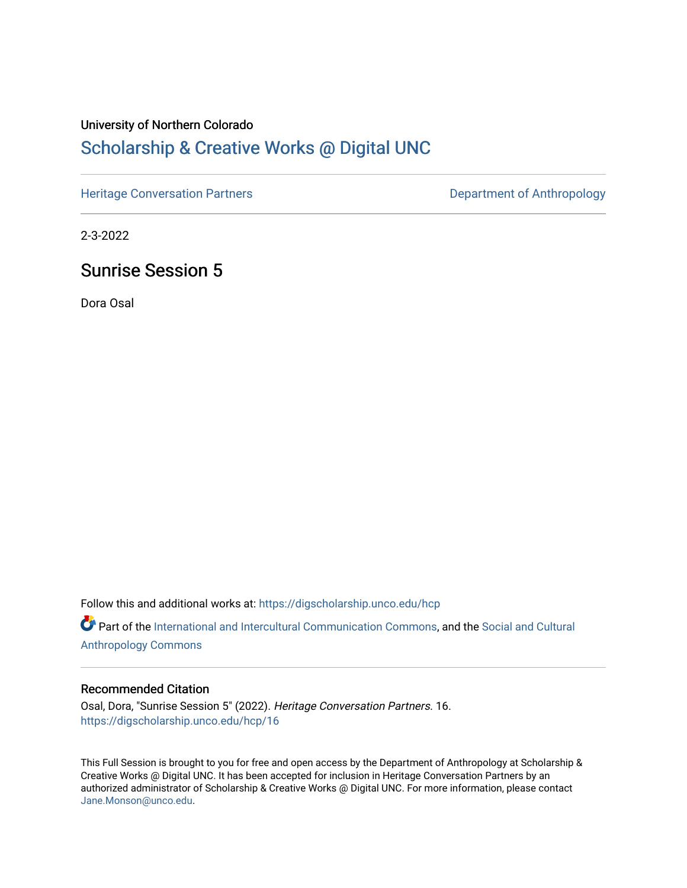#### University of Northern Colorado

## [Scholarship & Creative Works @ Digital UNC](https://digscholarship.unco.edu/)

[Heritage Conversation Partners](https://digscholarship.unco.edu/hcp) **Department of Anthropology** 

2-3-2022

## Sunrise Session 5

Dora Osal

Follow this and additional works at: [https://digscholarship.unco.edu/hcp](https://digscholarship.unco.edu/hcp?utm_source=digscholarship.unco.edu%2Fhcp%2F16&utm_medium=PDF&utm_campaign=PDFCoverPages) 

Part of the [International and Intercultural Communication Commons,](http://network.bepress.com/hgg/discipline/331?utm_source=digscholarship.unco.edu%2Fhcp%2F16&utm_medium=PDF&utm_campaign=PDFCoverPages) and the Social and Cultural [Anthropology Commons](http://network.bepress.com/hgg/discipline/323?utm_source=digscholarship.unco.edu%2Fhcp%2F16&utm_medium=PDF&utm_campaign=PDFCoverPages)

#### Recommended Citation

Osal, Dora, "Sunrise Session 5" (2022). Heritage Conversation Partners. 16. [https://digscholarship.unco.edu/hcp/16](https://digscholarship.unco.edu/hcp/16?utm_source=digscholarship.unco.edu%2Fhcp%2F16&utm_medium=PDF&utm_campaign=PDFCoverPages) 

This Full Session is brought to you for free and open access by the Department of Anthropology at Scholarship & Creative Works @ Digital UNC. It has been accepted for inclusion in Heritage Conversation Partners by an authorized administrator of Scholarship & Creative Works @ Digital UNC. For more information, please contact [Jane.Monson@unco.edu.](mailto:Jane.Monson@unco.edu)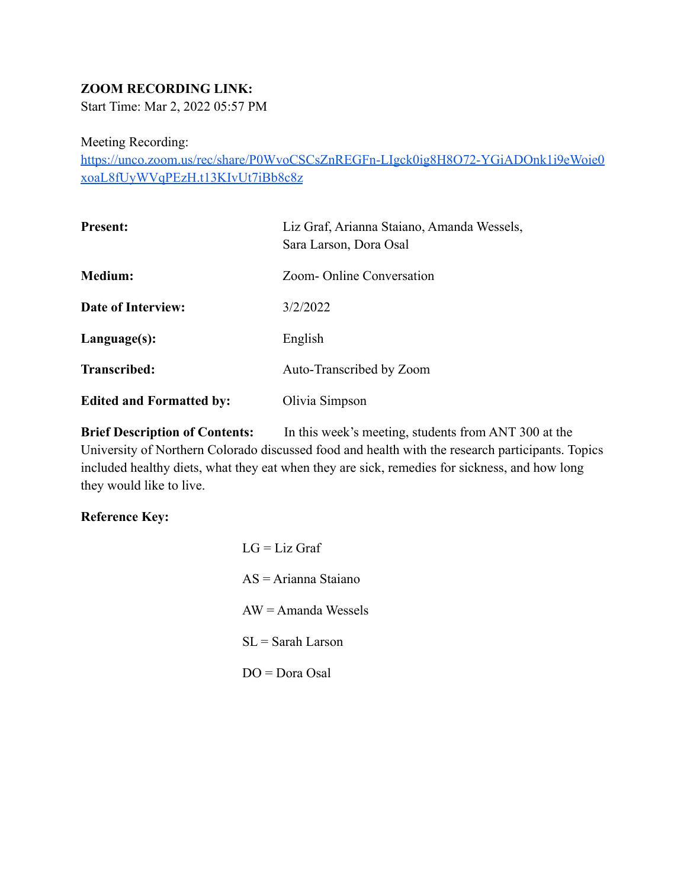### **ZOOM RECORDING LINK:**

Start Time: Mar 2, 2022 05:57 PM

Meeting Recording:

[https://unco.zoom.us/rec/share/P0WvoCSCsZnREGFn-LIgck0ig8H8O72-YGiADOnk1i9eWoie0](https://unco.zoom.us/rec/share/P0WvoCSCsZnREGFn-LIgck0ig8H8O72-YGiADOnk1i9eWoie0xoaL8fUyWVqPEzH.t13KIvUt7iBb8c8z) [xoaL8fUyWVqPEzH.t13KIvUt7iBb8c8z](https://unco.zoom.us/rec/share/P0WvoCSCsZnREGFn-LIgck0ig8H8O72-YGiADOnk1i9eWoie0xoaL8fUyWVqPEzH.t13KIvUt7iBb8c8z)

| <b>Present:</b>                 | Liz Graf, Arianna Staiano, Amanda Wessels,<br>Sara Larson, Dora Osal |
|---------------------------------|----------------------------------------------------------------------|
| <b>Medium:</b>                  | Zoom- Online Conversation                                            |
| <b>Date of Interview:</b>       | 3/2/2022                                                             |
| Language(s):                    | English                                                              |
| Transcribed:                    | Auto-Transcribed by Zoom                                             |
| <b>Edited and Formatted by:</b> | Olivia Simpson                                                       |

**Brief Description of Contents:** In this week's meeting, students from ANT 300 at the University of Northern Colorado discussed food and health with the research participants. Topics included healthy diets, what they eat when they are sick, remedies for sickness, and how long they would like to live.

#### **Reference Key:**

 $LG = Liz$  Graf AS = Arianna Staiano  $AW = A$ manda Wessels  $SL =$  Sarah Larson DO = Dora Osal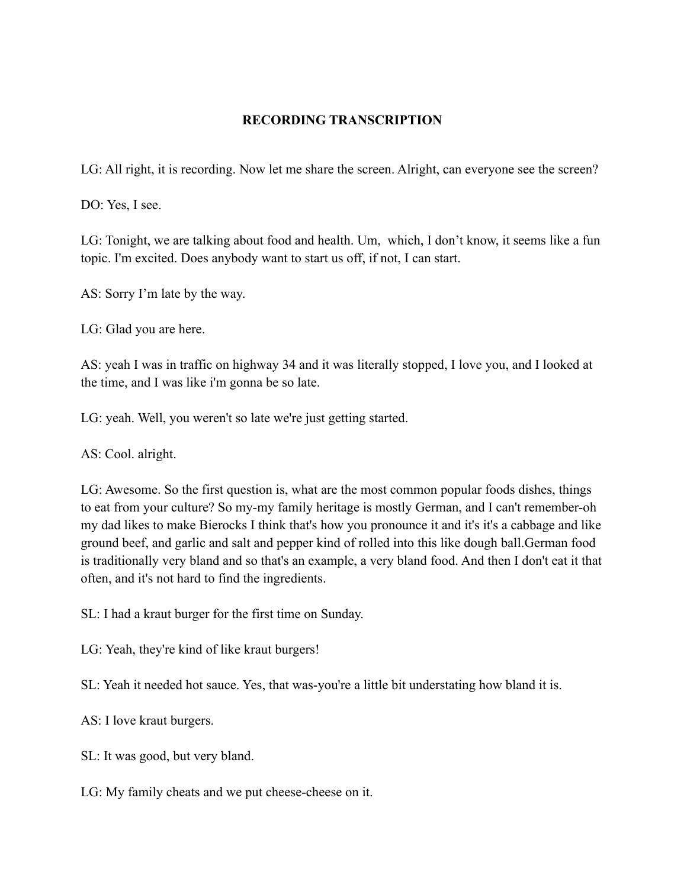### **RECORDING TRANSCRIPTION**

LG: All right, it is recording. Now let me share the screen. Alright, can everyone see the screen?

DO: Yes, I see.

LG: Tonight, we are talking about food and health. Um, which, I don't know, it seems like a fun topic. I'm excited. Does anybody want to start us off, if not, I can start.

AS: Sorry I'm late by the way.

LG: Glad you are here.

AS: yeah I was in traffic on highway 34 and it was literally stopped, I love you, and I looked at the time, and I was like i'm gonna be so late.

LG: yeah. Well, you weren't so late we're just getting started.

AS: Cool. alright.

LG: Awesome. So the first question is, what are the most common popular foods dishes, things to eat from your culture? So my-my family heritage is mostly German, and I can't remember-oh my dad likes to make Bierocks I think that's how you pronounce it and it's it's a cabbage and like ground beef, and garlic and salt and pepper kind of rolled into this like dough ball.German food is traditionally very bland and so that's an example, a very bland food. And then I don't eat it that often, and it's not hard to find the ingredients.

SL: I had a kraut burger for the first time on Sunday.

LG: Yeah, they're kind of like kraut burgers!

SL: Yeah it needed hot sauce. Yes, that was-you're a little bit understating how bland it is.

AS: I love kraut burgers.

SL: It was good, but very bland.

LG: My family cheats and we put cheese-cheese on it.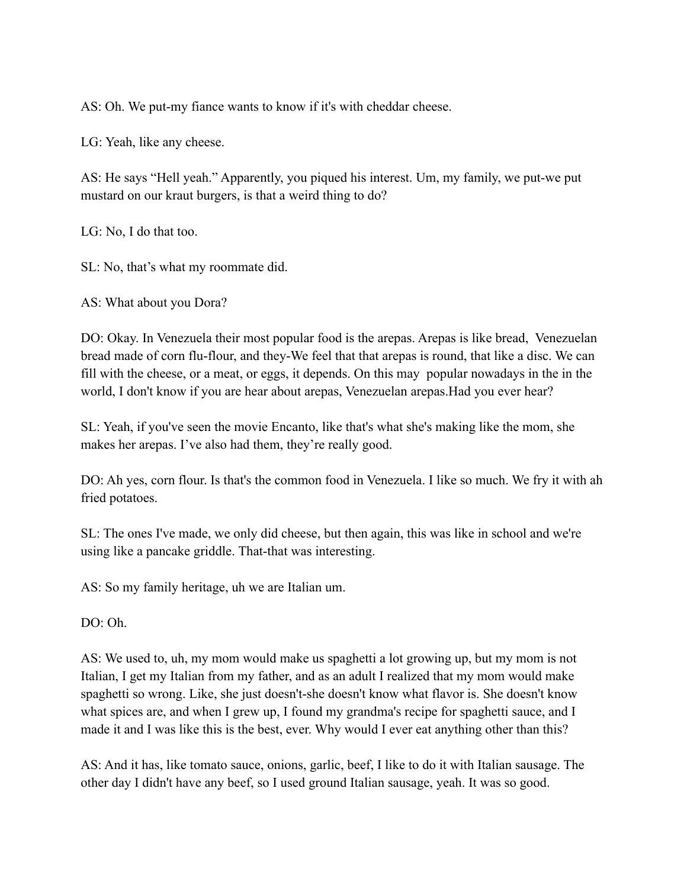AS: Oh. We put-my fiance wants to know if it's with cheddar cheese.

LG: Yeah, like any cheese.

AS: He says "Hell yeah." Apparently, you piqued his interest. Um, my family, we put-we put mustard on our kraut burgers, is that a weird thing to do?

LG: No, I do that too.

SL: No, that's what my roommate did.

AS: What about you Dora?

DO: Okay. In Venezuela their most popular food is the arepas. Arepas is like bread, Venezuelan bread made of corn flu-flour, and they-We feel that that arepas is round, that like a disc. We can fill with the cheese, or a meat, or eggs, it depends. On this may popular nowadays in the in the world, I don't know if you are hear about arepas, Venezuelan arepas.Had you ever hear?

SL: Yeah, if you've seen the movie Encanto, like that's what she's making like the mom, she makes her arepas. I've also had them, they're really good.

DO: Ah yes, corn flour. Is that's the common food in Venezuela. I like so much. We fry it with ah fried potatoes.

SL: The ones I've made, we only did cheese, but then again, this was like in school and we're using like a pancake griddle. That-that was interesting.

AS: So my family heritage, uh we are Italian um.

DO: Oh.

AS: We used to, uh, my mom would make us spaghetti a lot growing up, but my mom is not Italian, I get my Italian from my father, and as an adult I realized that my mom would make spaghetti so wrong. Like, she just doesn't-she doesn't know what flavor is. She doesn't know what spices are, and when I grew up, I found my grandma's recipe for spaghetti sauce, and I made it and I was like this is the best, ever. Why would I ever eat anything other than this?

AS: And it has, like tomato sauce, onions, garlic, beef, I like to do it with Italian sausage. The other day I didn't have any beef, so I used ground Italian sausage, yeah. It was so good.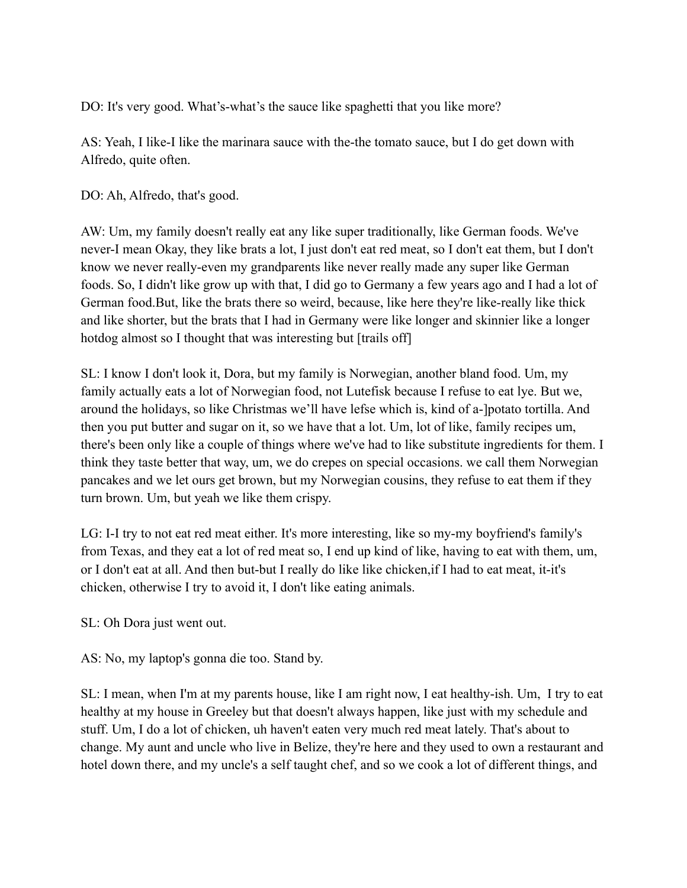DO: It's very good. What's-what's the sauce like spaghetti that you like more?

AS: Yeah, I like-I like the marinara sauce with the-the tomato sauce, but I do get down with Alfredo, quite often.

DO: Ah, Alfredo, that's good.

AW: Um, my family doesn't really eat any like super traditionally, like German foods. We've never-I mean Okay, they like brats a lot, I just don't eat red meat, so I don't eat them, but I don't know we never really-even my grandparents like never really made any super like German foods. So, I didn't like grow up with that, I did go to Germany a few years ago and I had a lot of German food.But, like the brats there so weird, because, like here they're like-really like thick and like shorter, but the brats that I had in Germany were like longer and skinnier like a longer hotdog almost so I thought that was interesting but [trails off]

SL: I know I don't look it, Dora, but my family is Norwegian, another bland food. Um, my family actually eats a lot of Norwegian food, not Lutefisk because I refuse to eat lye. But we, around the holidays, so like Christmas we'll have lefse which is, kind of a-]potato tortilla. And then you put butter and sugar on it, so we have that a lot. Um, lot of like, family recipes um, there's been only like a couple of things where we've had to like substitute ingredients for them. I think they taste better that way, um, we do crepes on special occasions. we call them Norwegian pancakes and we let ours get brown, but my Norwegian cousins, they refuse to eat them if they turn brown. Um, but yeah we like them crispy.

LG: I-I try to not eat red meat either. It's more interesting, like so my-my boyfriend's family's from Texas, and they eat a lot of red meat so, I end up kind of like, having to eat with them, um, or I don't eat at all. And then but-but I really do like like chicken,if I had to eat meat, it-it's chicken, otherwise I try to avoid it, I don't like eating animals.

SL: Oh Dora just went out.

AS: No, my laptop's gonna die too. Stand by.

SL: I mean, when I'm at my parents house, like I am right now, I eat healthy-ish. Um, I try to eat healthy at my house in Greeley but that doesn't always happen, like just with my schedule and stuff. Um, I do a lot of chicken, uh haven't eaten very much red meat lately. That's about to change. My aunt and uncle who live in Belize, they're here and they used to own a restaurant and hotel down there, and my uncle's a self taught chef, and so we cook a lot of different things, and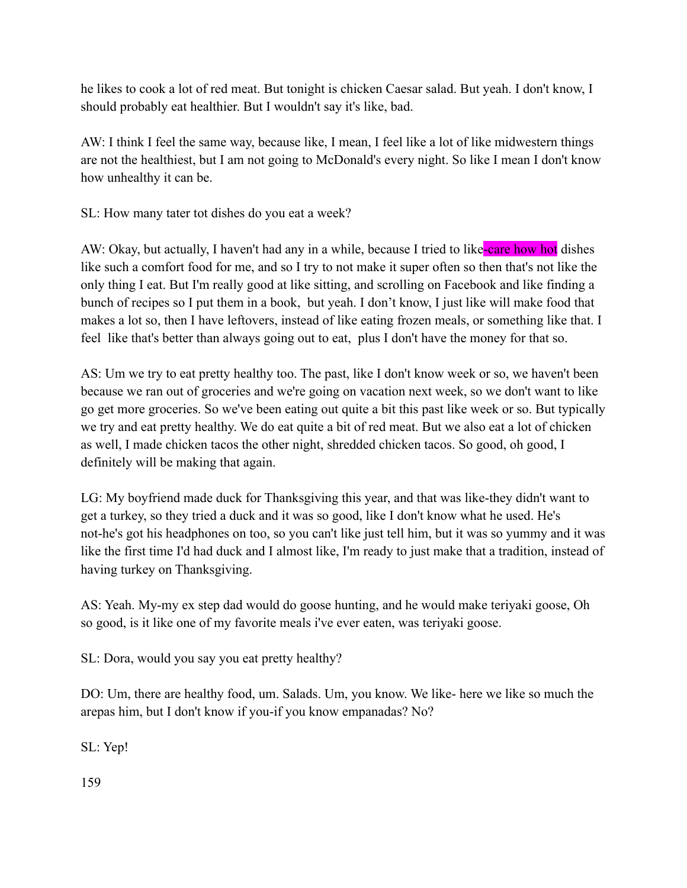he likes to cook a lot of red meat. But tonight is chicken Caesar salad. But yeah. I don't know, I should probably eat healthier. But I wouldn't say it's like, bad.

AW: I think I feel the same way, because like, I mean, I feel like a lot of like midwestern things are not the healthiest, but I am not going to McDonald's every night. So like I mean I don't know how unhealthy it can be.

SL: How many tater tot dishes do you eat a week?

AW: Okay, but actually, I haven't had any in a while, because I tried to like-care how hot dishes like such a comfort food for me, and so I try to not make it super often so then that's not like the only thing I eat. But I'm really good at like sitting, and scrolling on Facebook and like finding a bunch of recipes so I put them in a book, but yeah. I don't know, I just like will make food that makes a lot so, then I have leftovers, instead of like eating frozen meals, or something like that. I feel like that's better than always going out to eat, plus I don't have the money for that so.

AS: Um we try to eat pretty healthy too. The past, like I don't know week or so, we haven't been because we ran out of groceries and we're going on vacation next week, so we don't want to like go get more groceries. So we've been eating out quite a bit this past like week or so. But typically we try and eat pretty healthy. We do eat quite a bit of red meat. But we also eat a lot of chicken as well, I made chicken tacos the other night, shredded chicken tacos. So good, oh good, I definitely will be making that again.

LG: My boyfriend made duck for Thanksgiving this year, and that was like-they didn't want to get a turkey, so they tried a duck and it was so good, like I don't know what he used. He's not-he's got his headphones on too, so you can't like just tell him, but it was so yummy and it was like the first time I'd had duck and I almost like, I'm ready to just make that a tradition, instead of having turkey on Thanksgiving.

AS: Yeah. My-my ex step dad would do goose hunting, and he would make teriyaki goose, Oh so good, is it like one of my favorite meals i've ever eaten, was teriyaki goose.

SL: Dora, would you say you eat pretty healthy?

DO: Um, there are healthy food, um. Salads. Um, you know. We like- here we like so much the arepas him, but I don't know if you-if you know empanadas? No?

SL: Yep!

159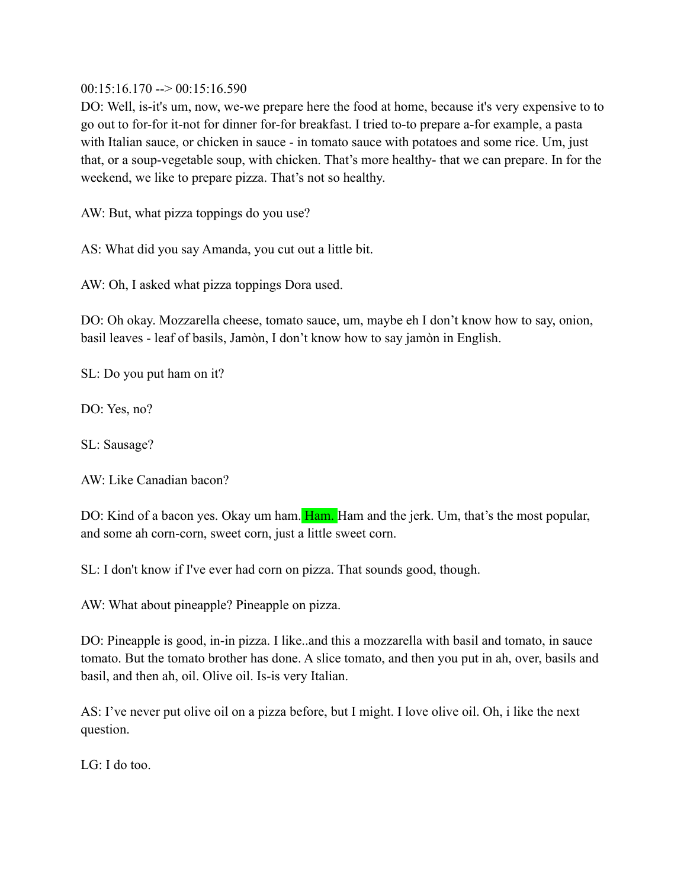$00:15:16.170 \rightarrow 00:15:16.590$ 

DO: Well, is-it's um, now, we-we prepare here the food at home, because it's very expensive to to go out to for-for it-not for dinner for-for breakfast. I tried to-to prepare a-for example, a pasta with Italian sauce, or chicken in sauce - in tomato sauce with potatoes and some rice. Um, just that, or a soup-vegetable soup, with chicken. That's more healthy- that we can prepare. In for the weekend, we like to prepare pizza. That's not so healthy.

AW: But, what pizza toppings do you use?

AS: What did you say Amanda, you cut out a little bit.

AW: Oh, I asked what pizza toppings Dora used.

DO: Oh okay. Mozzarella cheese, tomato sauce, um, maybe eh I don't know how to say, onion, basil leaves - leaf of basils, Jamòn, I don't know how to say jamòn in English.

SL: Do you put ham on it?

DO: Yes, no?

SL: Sausage?

AW: Like Canadian bacon?

DO: Kind of a bacon yes. Okay um ham. Ham. Ham and the jerk. Um, that's the most popular, and some ah corn-corn, sweet corn, just a little sweet corn.

SL: I don't know if I've ever had corn on pizza. That sounds good, though.

AW: What about pineapple? Pineapple on pizza.

DO: Pineapple is good, in-in pizza. I like..and this a mozzarella with basil and tomato, in sauce tomato. But the tomato brother has done. A slice tomato, and then you put in ah, over, basils and basil, and then ah, oil. Olive oil. Is-is very Italian.

AS: I've never put olive oil on a pizza before, but I might. I love olive oil. Oh, i like the next question.

LG: I do too.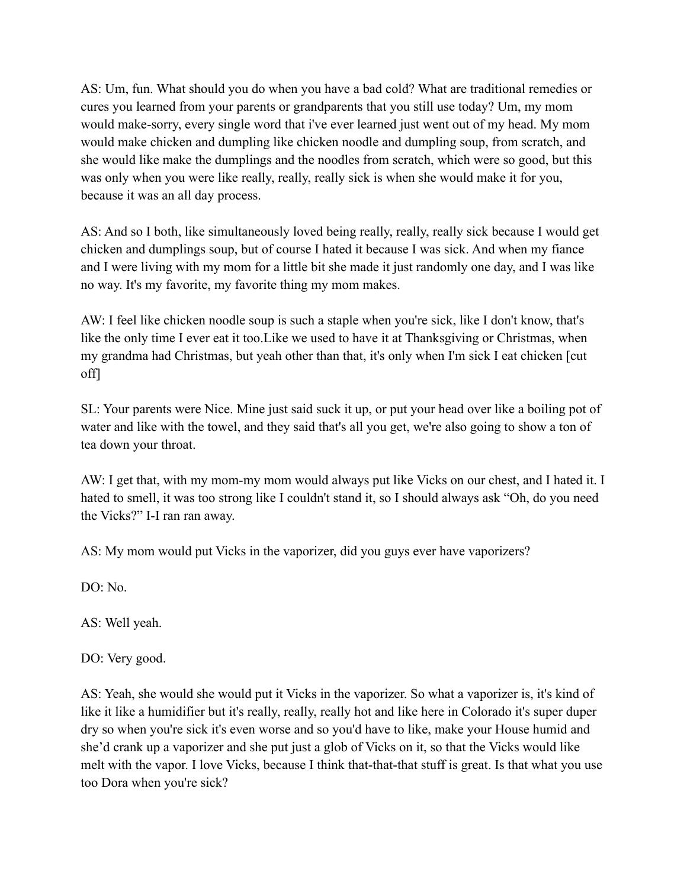AS: Um, fun. What should you do when you have a bad cold? What are traditional remedies or cures you learned from your parents or grandparents that you still use today? Um, my mom would make-sorry, every single word that i've ever learned just went out of my head. My mom would make chicken and dumpling like chicken noodle and dumpling soup, from scratch, and she would like make the dumplings and the noodles from scratch, which were so good, but this was only when you were like really, really, really sick is when she would make it for you, because it was an all day process.

AS: And so I both, like simultaneously loved being really, really, really sick because I would get chicken and dumplings soup, but of course I hated it because I was sick. And when my fiance and I were living with my mom for a little bit she made it just randomly one day, and I was like no way. It's my favorite, my favorite thing my mom makes.

AW: I feel like chicken noodle soup is such a staple when you're sick, like I don't know, that's like the only time I ever eat it too.Like we used to have it at Thanksgiving or Christmas, when my grandma had Christmas, but yeah other than that, it's only when I'm sick I eat chicken [cut off]

SL: Your parents were Nice. Mine just said suck it up, or put your head over like a boiling pot of water and like with the towel, and they said that's all you get, we're also going to show a ton of tea down your throat.

AW: I get that, with my mom-my mom would always put like Vicks on our chest, and I hated it. I hated to smell, it was too strong like I couldn't stand it, so I should always ask "Oh, do you need the Vicks?" I-I ran ran away.

AS: My mom would put Vicks in the vaporizer, did you guys ever have vaporizers?

DO: No.

AS: Well yeah.

DO: Very good.

AS: Yeah, she would she would put it Vicks in the vaporizer. So what a vaporizer is, it's kind of like it like a humidifier but it's really, really, really hot and like here in Colorado it's super duper dry so when you're sick it's even worse and so you'd have to like, make your House humid and she'd crank up a vaporizer and she put just a glob of Vicks on it, so that the Vicks would like melt with the vapor. I love Vicks, because I think that-that-that stuff is great. Is that what you use too Dora when you're sick?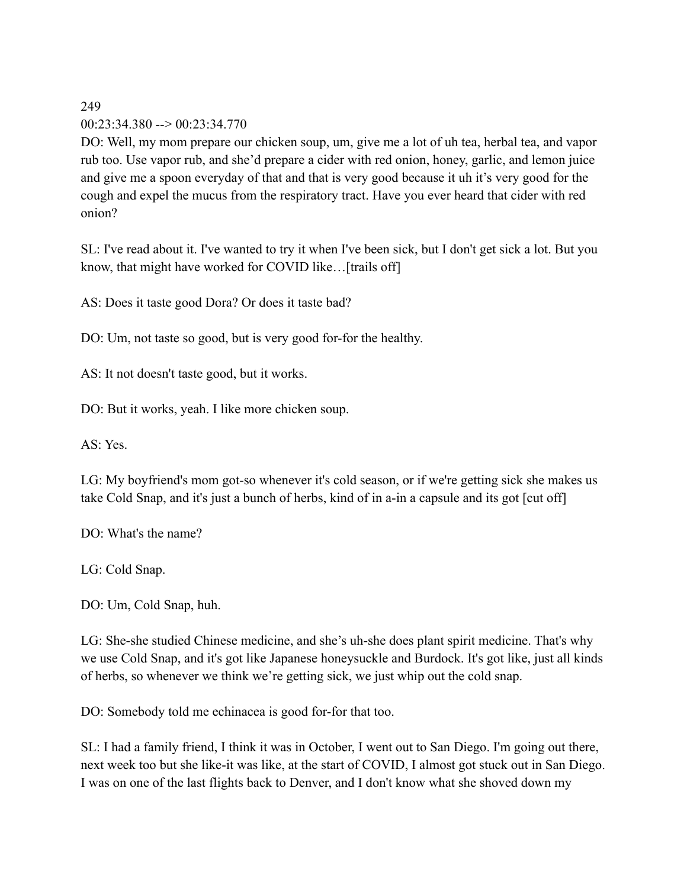# $00:23:34.380 \rightarrow 00:23:34.770$

DO: Well, my mom prepare our chicken soup, um, give me a lot of uh tea, herbal tea, and vapor rub too. Use vapor rub, and she'd prepare a cider with red onion, honey, garlic, and lemon juice and give me a spoon everyday of that and that is very good because it uh it's very good for the cough and expel the mucus from the respiratory tract. Have you ever heard that cider with red onion?

SL: I've read about it. I've wanted to try it when I've been sick, but I don't get sick a lot. But you know, that might have worked for COVID like…[trails off]

AS: Does it taste good Dora? Or does it taste bad?

DO: Um, not taste so good, but is very good for-for the healthy.

AS: It not doesn't taste good, but it works.

DO: But it works, yeah. I like more chicken soup.

AS: Yes.

LG: My boyfriend's mom got-so whenever it's cold season, or if we're getting sick she makes us take Cold Snap, and it's just a bunch of herbs, kind of in a-in a capsule and its got [cut off]

DO: What's the name?

LG: Cold Snap.

DO: Um, Cold Snap, huh.

LG: She-she studied Chinese medicine, and she's uh-she does plant spirit medicine. That's why we use Cold Snap, and it's got like Japanese honeysuckle and Burdock. It's got like, just all kinds of herbs, so whenever we think we're getting sick, we just whip out the cold snap.

DO: Somebody told me echinacea is good for-for that too.

SL: I had a family friend, I think it was in October, I went out to San Diego. I'm going out there, next week too but she like-it was like, at the start of COVID, I almost got stuck out in San Diego. I was on one of the last flights back to Denver, and I don't know what she shoved down my

249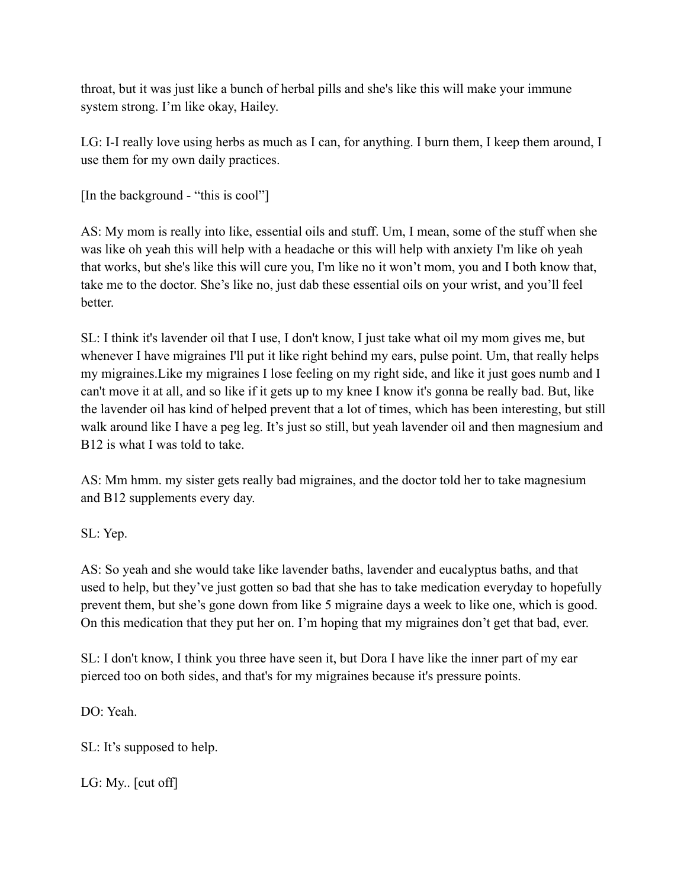throat, but it was just like a bunch of herbal pills and she's like this will make your immune system strong. I'm like okay, Hailey.

LG: I-I really love using herbs as much as I can, for anything. I burn them, I keep them around, I use them for my own daily practices.

[In the background - "this is cool"]

AS: My mom is really into like, essential oils and stuff. Um, I mean, some of the stuff when she was like oh yeah this will help with a headache or this will help with anxiety I'm like oh yeah that works, but she's like this will cure you, I'm like no it won't mom, you and I both know that, take me to the doctor. She's like no, just dab these essential oils on your wrist, and you'll feel better.

SL: I think it's lavender oil that I use, I don't know, I just take what oil my mom gives me, but whenever I have migraines I'll put it like right behind my ears, pulse point. Um, that really helps my migraines.Like my migraines I lose feeling on my right side, and like it just goes numb and I can't move it at all, and so like if it gets up to my knee I know it's gonna be really bad. But, like the lavender oil has kind of helped prevent that a lot of times, which has been interesting, but still walk around like I have a peg leg. It's just so still, but yeah lavender oil and then magnesium and B12 is what I was told to take.

AS: Mm hmm. my sister gets really bad migraines, and the doctor told her to take magnesium and B12 supplements every day.

SL: Yep.

AS: So yeah and she would take like lavender baths, lavender and eucalyptus baths, and that used to help, but they've just gotten so bad that she has to take medication everyday to hopefully prevent them, but she's gone down from like 5 migraine days a week to like one, which is good. On this medication that they put her on. I'm hoping that my migraines don't get that bad, ever.

SL: I don't know, I think you three have seen it, but Dora I have like the inner part of my ear pierced too on both sides, and that's for my migraines because it's pressure points.

DO<sup>.</sup> Yeah

SL: It's supposed to help.

LG: My.. [cut off]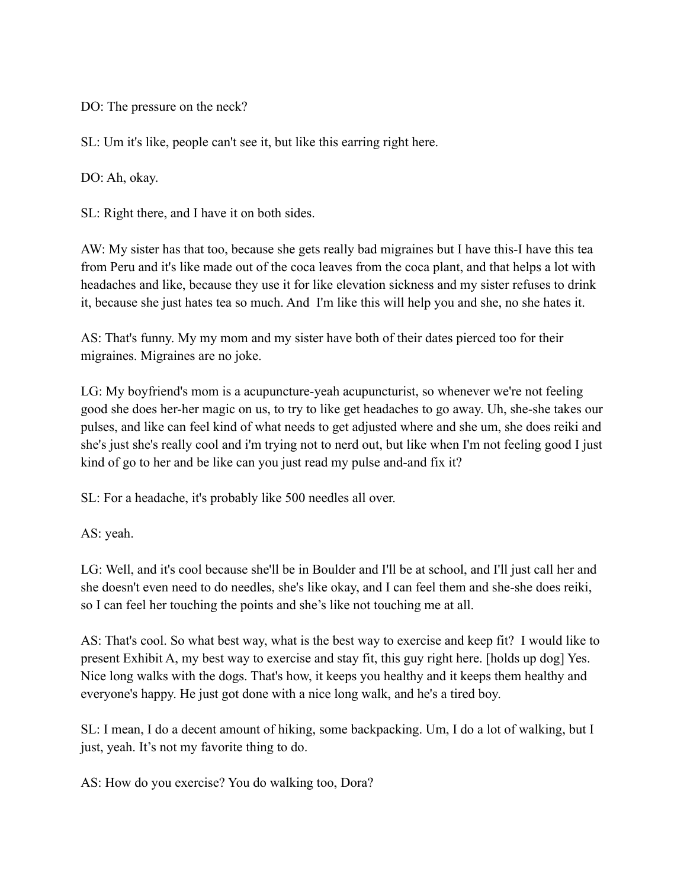DO: The pressure on the neck?

SL: Um it's like, people can't see it, but like this earring right here.

DO: Ah, okay.

SL: Right there, and I have it on both sides.

AW: My sister has that too, because she gets really bad migraines but I have this-I have this tea from Peru and it's like made out of the coca leaves from the coca plant, and that helps a lot with headaches and like, because they use it for like elevation sickness and my sister refuses to drink it, because she just hates tea so much. And I'm like this will help you and she, no she hates it.

AS: That's funny. My my mom and my sister have both of their dates pierced too for their migraines. Migraines are no joke.

LG: My boyfriend's mom is a acupuncture-yeah acupuncturist, so whenever we're not feeling good she does her-her magic on us, to try to like get headaches to go away. Uh, she-she takes our pulses, and like can feel kind of what needs to get adjusted where and she um, she does reiki and she's just she's really cool and i'm trying not to nerd out, but like when I'm not feeling good I just kind of go to her and be like can you just read my pulse and-and fix it?

SL: For a headache, it's probably like 500 needles all over.

AS: yeah.

LG: Well, and it's cool because she'll be in Boulder and I'll be at school, and I'll just call her and she doesn't even need to do needles, she's like okay, and I can feel them and she-she does reiki, so I can feel her touching the points and she's like not touching me at all.

AS: That's cool. So what best way, what is the best way to exercise and keep fit? I would like to present Exhibit A, my best way to exercise and stay fit, this guy right here. [holds up dog] Yes. Nice long walks with the dogs. That's how, it keeps you healthy and it keeps them healthy and everyone's happy. He just got done with a nice long walk, and he's a tired boy.

SL: I mean, I do a decent amount of hiking, some backpacking. Um, I do a lot of walking, but I just, yeah. It's not my favorite thing to do.

AS: How do you exercise? You do walking too, Dora?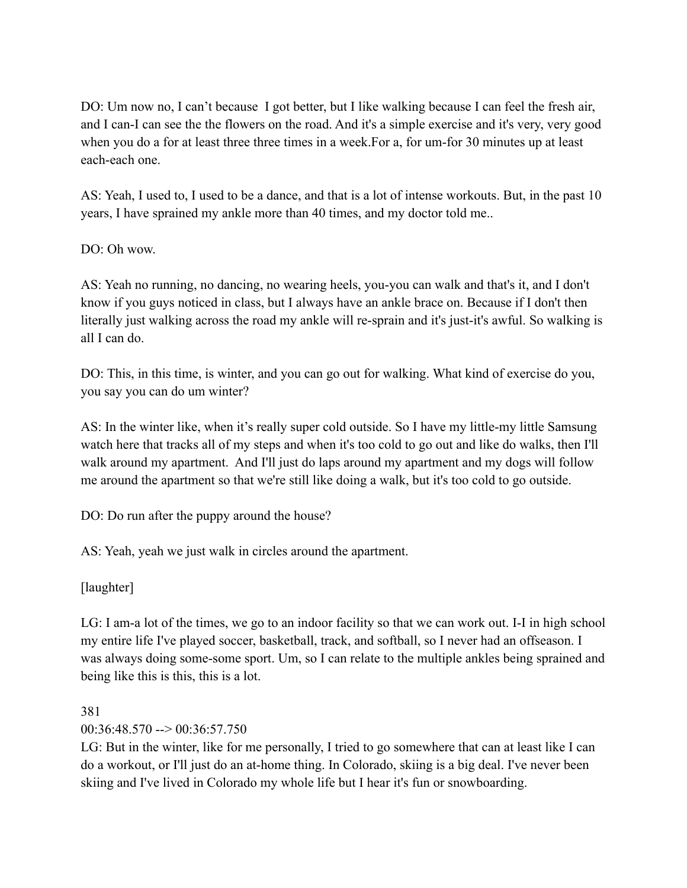DO: Um now no, I can't because I got better, but I like walking because I can feel the fresh air, and I can-I can see the the flowers on the road. And it's a simple exercise and it's very, very good when you do a for at least three three times in a week.For a, for um-for 30 minutes up at least each-each one.

AS: Yeah, I used to, I used to be a dance, and that is a lot of intense workouts. But, in the past 10 years, I have sprained my ankle more than 40 times, and my doctor told me..

 $DO: Oh$  wow.

AS: Yeah no running, no dancing, no wearing heels, you-you can walk and that's it, and I don't know if you guys noticed in class, but I always have an ankle brace on. Because if I don't then literally just walking across the road my ankle will re-sprain and it's just-it's awful. So walking is all I can do.

DO: This, in this time, is winter, and you can go out for walking. What kind of exercise do you, you say you can do um winter?

AS: In the winter like, when it's really super cold outside. So I have my little-my little Samsung watch here that tracks all of my steps and when it's too cold to go out and like do walks, then I'll walk around my apartment. And I'll just do laps around my apartment and my dogs will follow me around the apartment so that we're still like doing a walk, but it's too cold to go outside.

DO: Do run after the puppy around the house?

AS: Yeah, yeah we just walk in circles around the apartment.

[laughter]

LG: I am-a lot of the times, we go to an indoor facility so that we can work out. I-I in high school my entire life I've played soccer, basketball, track, and softball, so I never had an offseason. I was always doing some-some sport. Um, so I can relate to the multiple ankles being sprained and being like this is this, this is a lot.

#### 381

00:36:48.570 --> 00:36:57.750

LG: But in the winter, like for me personally, I tried to go somewhere that can at least like I can do a workout, or I'll just do an at-home thing. In Colorado, skiing is a big deal. I've never been skiing and I've lived in Colorado my whole life but I hear it's fun or snowboarding.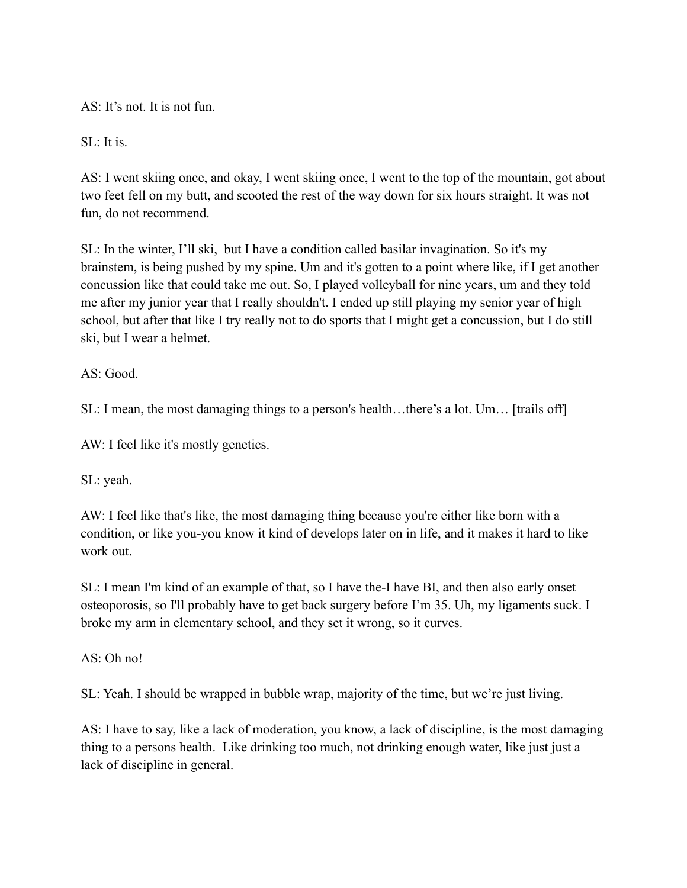AS: It's not. It is not fun.

SL: It is.

AS: I went skiing once, and okay, I went skiing once, I went to the top of the mountain, got about two feet fell on my butt, and scooted the rest of the way down for six hours straight. It was not fun, do not recommend.

SL: In the winter, I'll ski, but I have a condition called basilar invagination. So it's my brainstem, is being pushed by my spine. Um and it's gotten to a point where like, if I get another concussion like that could take me out. So, I played volleyball for nine years, um and they told me after my junior year that I really shouldn't. I ended up still playing my senior year of high school, but after that like I try really not to do sports that I might get a concussion, but I do still ski, but I wear a helmet.

 $AS: Good$ 

SL: I mean, the most damaging things to a person's health…there's a lot. Um… [trails off]

AW: I feel like it's mostly genetics.

SL: yeah.

AW: I feel like that's like, the most damaging thing because you're either like born with a condition, or like you-you know it kind of develops later on in life, and it makes it hard to like work out.

SL: I mean I'm kind of an example of that, so I have the-I have BI, and then also early onset osteoporosis, so I'll probably have to get back surgery before I'm 35. Uh, my ligaments suck. I broke my arm in elementary school, and they set it wrong, so it curves.

AS: Oh no!

SL: Yeah. I should be wrapped in bubble wrap, majority of the time, but we're just living.

AS: I have to say, like a lack of moderation, you know, a lack of discipline, is the most damaging thing to a persons health. Like drinking too much, not drinking enough water, like just just a lack of discipline in general.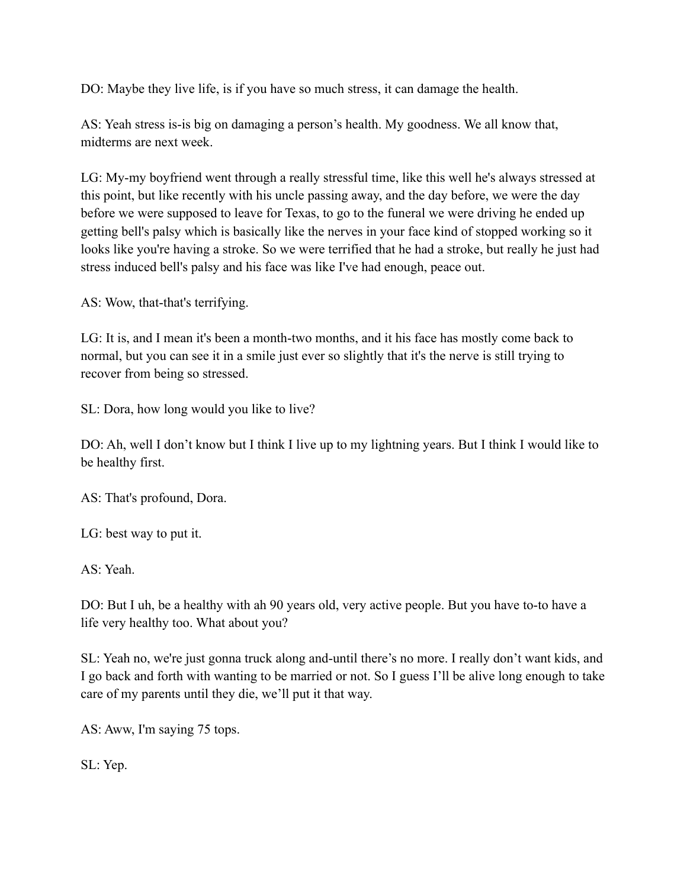DO: Maybe they live life, is if you have so much stress, it can damage the health.

AS: Yeah stress is-is big on damaging a person's health. My goodness. We all know that, midterms are next week.

LG: My-my boyfriend went through a really stressful time, like this well he's always stressed at this point, but like recently with his uncle passing away, and the day before, we were the day before we were supposed to leave for Texas, to go to the funeral we were driving he ended up getting bell's palsy which is basically like the nerves in your face kind of stopped working so it looks like you're having a stroke. So we were terrified that he had a stroke, but really he just had stress induced bell's palsy and his face was like I've had enough, peace out.

AS: Wow, that-that's terrifying.

LG: It is, and I mean it's been a month-two months, and it his face has mostly come back to normal, but you can see it in a smile just ever so slightly that it's the nerve is still trying to recover from being so stressed.

SL: Dora, how long would you like to live?

DO: Ah, well I don't know but I think I live up to my lightning years. But I think I would like to be healthy first.

AS: That's profound, Dora.

LG: best way to put it.

AS: Yeah.

DO: But I uh, be a healthy with ah 90 years old, very active people. But you have to-to have a life very healthy too. What about you?

SL: Yeah no, we're just gonna truck along and-until there's no more. I really don't want kids, and I go back and forth with wanting to be married or not. So I guess I'll be alive long enough to take care of my parents until they die, we'll put it that way.

AS: Aww, I'm saying 75 tops.

SL: Yep.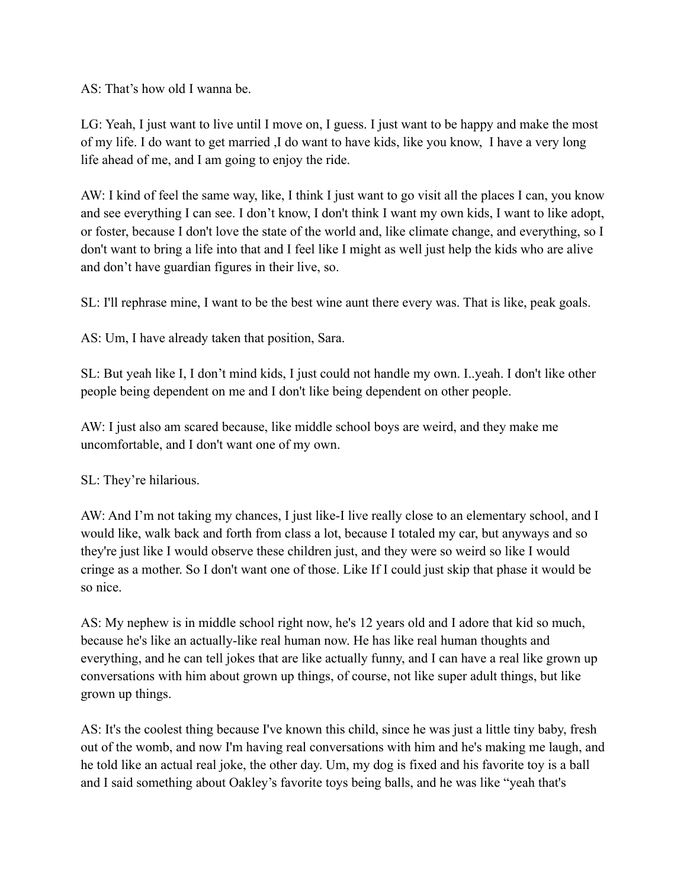AS: That's how old I wanna be.

LG: Yeah, I just want to live until I move on, I guess. I just want to be happy and make the most of my life. I do want to get married ,I do want to have kids, like you know, I have a very long life ahead of me, and I am going to enjoy the ride.

AW: I kind of feel the same way, like, I think I just want to go visit all the places I can, you know and see everything I can see. I don't know, I don't think I want my own kids, I want to like adopt, or foster, because I don't love the state of the world and, like climate change, and everything, so I don't want to bring a life into that and I feel like I might as well just help the kids who are alive and don't have guardian figures in their live, so.

SL: I'll rephrase mine, I want to be the best wine aunt there every was. That is like, peak goals.

AS: Um, I have already taken that position, Sara.

SL: But yeah like I, I don't mind kids, I just could not handle my own. I..yeah. I don't like other people being dependent on me and I don't like being dependent on other people.

AW: I just also am scared because, like middle school boys are weird, and they make me uncomfortable, and I don't want one of my own.

SL: They're hilarious.

AW: And I'm not taking my chances, I just like-I live really close to an elementary school, and I would like, walk back and forth from class a lot, because I totaled my car, but anyways and so they're just like I would observe these children just, and they were so weird so like I would cringe as a mother. So I don't want one of those. Like If I could just skip that phase it would be so nice.

AS: My nephew is in middle school right now, he's 12 years old and I adore that kid so much, because he's like an actually-like real human now. He has like real human thoughts and everything, and he can tell jokes that are like actually funny, and I can have a real like grown up conversations with him about grown up things, of course, not like super adult things, but like grown up things.

AS: It's the coolest thing because I've known this child, since he was just a little tiny baby, fresh out of the womb, and now I'm having real conversations with him and he's making me laugh, and he told like an actual real joke, the other day. Um, my dog is fixed and his favorite toy is a ball and I said something about Oakley's favorite toys being balls, and he was like "yeah that's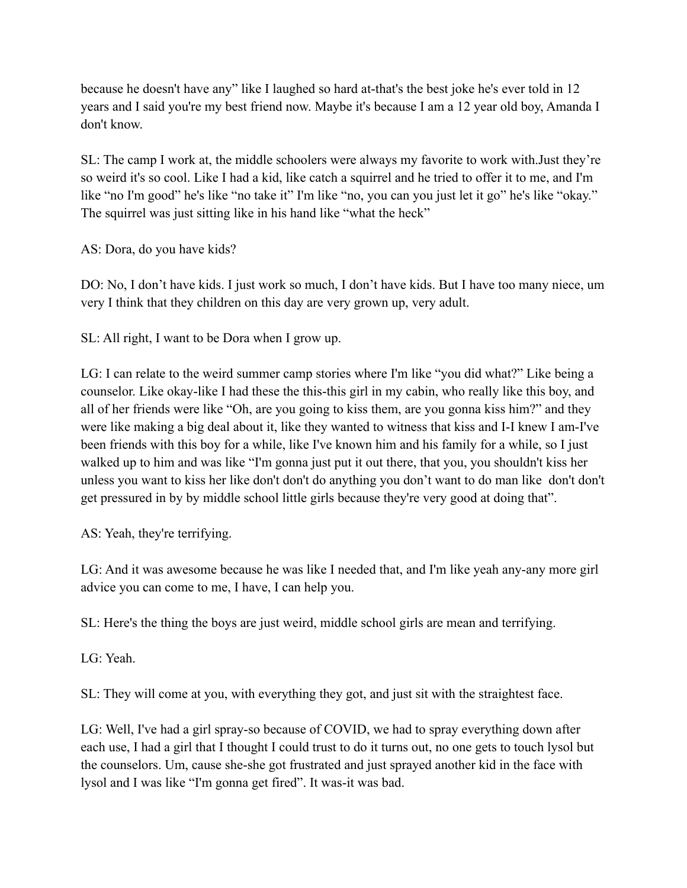because he doesn't have any" like I laughed so hard at-that's the best joke he's ever told in 12 years and I said you're my best friend now. Maybe it's because I am a 12 year old boy, Amanda I don't know.

SL: The camp I work at, the middle schoolers were always my favorite to work with.Just they're so weird it's so cool. Like I had a kid, like catch a squirrel and he tried to offer it to me, and I'm like "no I'm good" he's like "no take it" I'm like "no, you can you just let it go" he's like "okay." The squirrel was just sitting like in his hand like "what the heck"

AS: Dora, do you have kids?

DO: No, I don't have kids. I just work so much, I don't have kids. But I have too many niece, um very I think that they children on this day are very grown up, very adult.

SL: All right, I want to be Dora when I grow up.

LG: I can relate to the weird summer camp stories where I'm like "you did what?" Like being a counselor. Like okay-like I had these the this-this girl in my cabin, who really like this boy, and all of her friends were like "Oh, are you going to kiss them, are you gonna kiss him?" and they were like making a big deal about it, like they wanted to witness that kiss and I-I knew I am-I've been friends with this boy for a while, like I've known him and his family for a while, so I just walked up to him and was like "I'm gonna just put it out there, that you, you shouldn't kiss her unless you want to kiss her like don't don't do anything you don't want to do man like don't don't get pressured in by by middle school little girls because they're very good at doing that".

AS: Yeah, they're terrifying.

LG: And it was awesome because he was like I needed that, and I'm like yeah any-any more girl advice you can come to me, I have, I can help you.

SL: Here's the thing the boys are just weird, middle school girls are mean and terrifying.

LG: Yeah.

SL: They will come at you, with everything they got, and just sit with the straightest face.

LG: Well, I've had a girl spray-so because of COVID, we had to spray everything down after each use, I had a girl that I thought I could trust to do it turns out, no one gets to touch lysol but the counselors. Um, cause she-she got frustrated and just sprayed another kid in the face with lysol and I was like "I'm gonna get fired". It was-it was bad.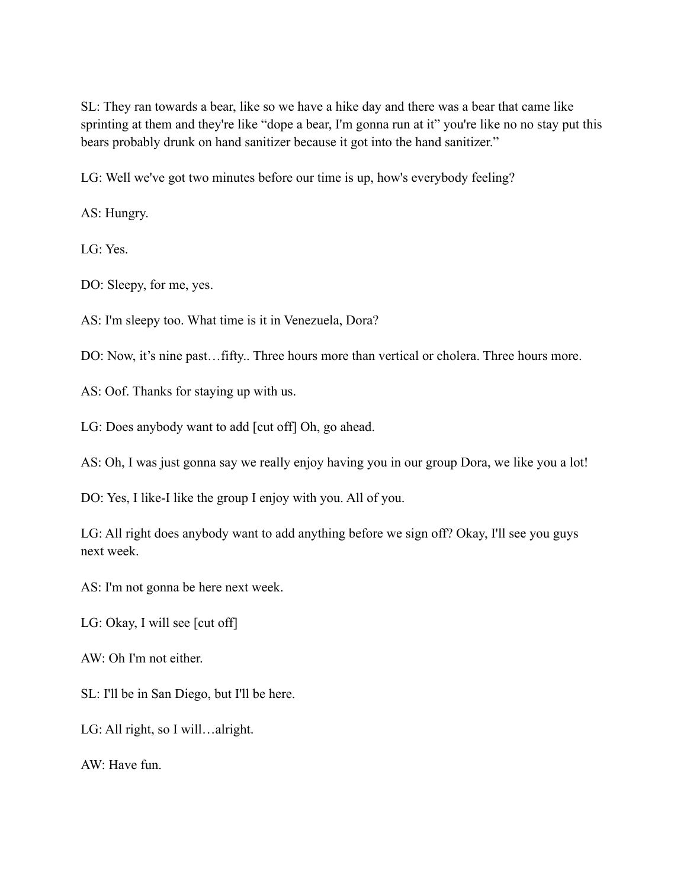SL: They ran towards a bear, like so we have a hike day and there was a bear that came like sprinting at them and they're like "dope a bear, I'm gonna run at it" you're like no no stay put this bears probably drunk on hand sanitizer because it got into the hand sanitizer."

LG: Well we've got two minutes before our time is up, how's everybody feeling?

AS: Hungry.

LG: Yes.

DO: Sleepy, for me, yes.

AS: I'm sleepy too. What time is it in Venezuela, Dora?

DO: Now, it's nine past... fifty.. Three hours more than vertical or cholera. Three hours more.

AS: Oof. Thanks for staying up with us.

LG: Does anybody want to add [cut off] Oh, go ahead.

AS: Oh, I was just gonna say we really enjoy having you in our group Dora, we like you a lot!

DO: Yes, I like-I like the group I enjoy with you. All of you.

LG: All right does anybody want to add anything before we sign off? Okay, I'll see you guys next week.

AS: I'm not gonna be here next week.

LG: Okay, I will see [cut off]

AW: Oh I'm not either.

SL: I'll be in San Diego, but I'll be here.

LG: All right, so I will…alright.

AW: Have fun.